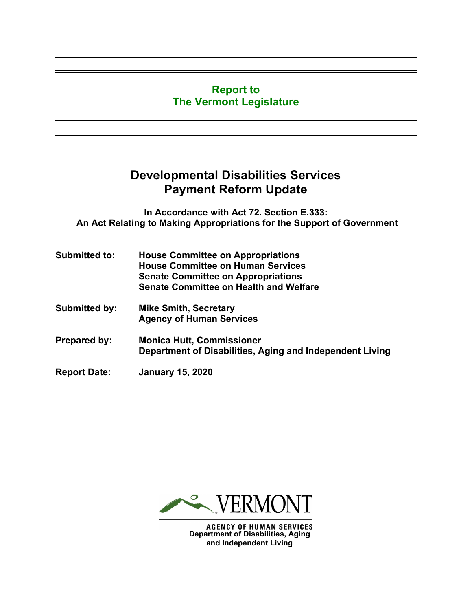#### **Report to The Vermont Legislature**

# **Developmental Disabilities Services Payment Reform Update**

**In Accordance with Act 72. Section E.333: An Act Relating to Making Appropriations for the Support of Government**

| <b>Submitted to:</b> | <b>House Committee on Appropriations</b><br><b>House Committee on Human Services</b><br><b>Senate Committee on Appropriations</b><br><b>Senate Committee on Health and Welfare</b> |
|----------------------|------------------------------------------------------------------------------------------------------------------------------------------------------------------------------------|
| <b>Submitted by:</b> | <b>Mike Smith, Secretary</b><br><b>Agency of Human Services</b>                                                                                                                    |
| <b>Prepared by:</b>  | <b>Monica Hutt, Commissioner</b><br>Department of Disabilities, Aging and Independent Living                                                                                       |
| <b>Report Date:</b>  | <b>January 15, 2020</b>                                                                                                                                                            |



**Department of Disabilities, Aging and Independent Living**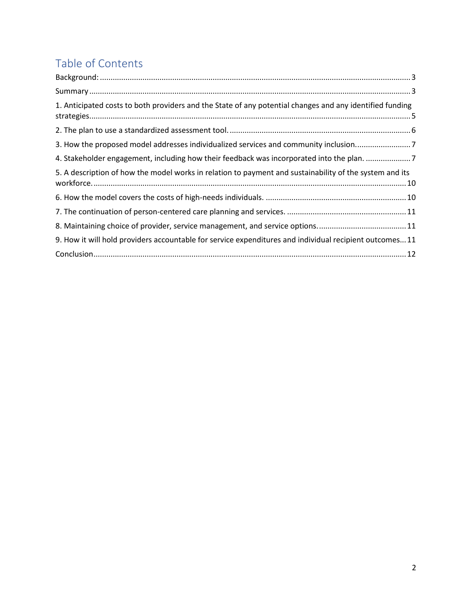# Table of Contents

| 1. Anticipated costs to both providers and the State of any potential changes and any identified funding |  |
|----------------------------------------------------------------------------------------------------------|--|
|                                                                                                          |  |
| 3. How the proposed model addresses individualized services and community inclusion                      |  |
| 4. Stakeholder engagement, including how their feedback was incorporated into the plan. 7                |  |
| 5. A description of how the model works in relation to payment and sustainability of the system and its  |  |
|                                                                                                          |  |
|                                                                                                          |  |
| 8. Maintaining choice of provider, service management, and service options11                             |  |
| 9. How it will hold providers accountable for service expenditures and individual recipient outcomes 11  |  |
|                                                                                                          |  |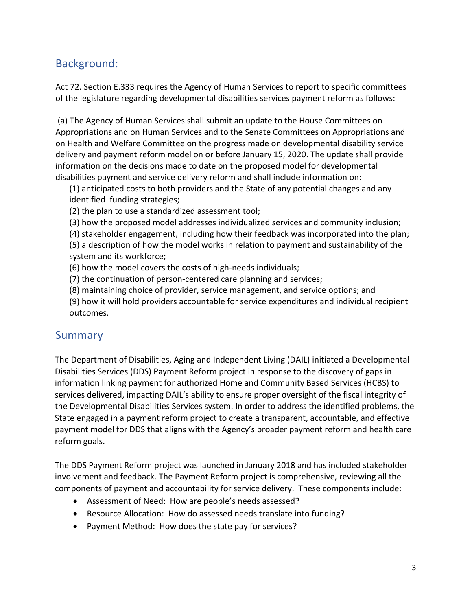## <span id="page-2-0"></span>Background:

Act 72. Section E.333 requires the Agency of Human Services to report to specific committees of the legislature regarding developmental disabilities services payment reform as follows:

(a) The Agency of Human Services shall submit an update to the House Committees on Appropriations and on Human Services and to the Senate Committees on Appropriations and on Health and Welfare Committee on the progress made on developmental disability service delivery and payment reform model on or before January 15, 2020. The update shall provide information on the decisions made to date on the proposed model for developmental disabilities payment and service delivery reform and shall include information on:

(1) anticipated costs to both providers and the State of any potential changes and any identified funding strategies;

- (2) the plan to use a standardized assessment tool;
- (3) how the proposed model addresses individualized services and community inclusion;
- (4) stakeholder engagement, including how their feedback was incorporated into the plan;

(5) a description of how the model works in relation to payment and sustainability of the system and its workforce;

- (6) how the model covers the costs of high-needs individuals;
- (7) the continuation of person-centered care planning and services;
- (8) maintaining choice of provider, service management, and service options; and
- (9) how it will hold providers accountable for service expenditures and individual recipient outcomes.

#### <span id="page-2-1"></span>**Summary**

The Department of Disabilities, Aging and Independent Living (DAIL) initiated a Developmental Disabilities Services (DDS) Payment Reform project in response to the discovery of gaps in information linking payment for authorized Home and Community Based Services (HCBS) to services delivered, impacting DAIL's ability to ensure proper oversight of the fiscal integrity of the Developmental Disabilities Services system. In order to address the identified problems, the State engaged in a payment reform project to create a transparent, accountable, and effective payment model for DDS that aligns with the Agency's broader payment reform and health care reform goals.

The DDS Payment Reform project was launched in January 2018 and has included stakeholder involvement and feedback. The Payment Reform project is comprehensive, reviewing all the components of payment and accountability for service delivery. These components include:

- Assessment of Need: How are people's needs assessed?
- Resource Allocation: How do assessed needs translate into funding?
- Payment Method: How does the state pay for services?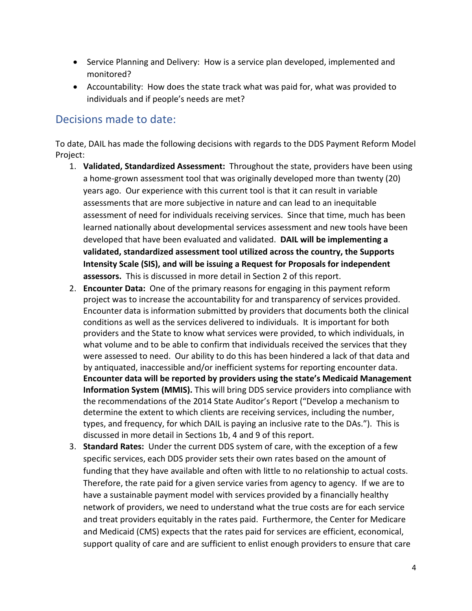- Service Planning and Delivery: How is a service plan developed, implemented and monitored?
- Accountability: How does the state track what was paid for, what was provided to individuals and if people's needs are met?

#### Decisions made to date:

To date, DAIL has made the following decisions with regards to the DDS Payment Reform Model Project:

- 1. **Validated, Standardized Assessment:** Throughout the state, providers have been using a home-grown assessment tool that was originally developed more than twenty (20) years ago. Our experience with this current tool is that it can result in variable assessments that are more subjective in nature and can lead to an inequitable assessment of need for individuals receiving services. Since that time, much has been learned nationally about developmental services assessment and new tools have been developed that have been evaluated and validated. **DAIL will be implementing a validated, standardized assessment tool utilized across the country, the Supports Intensity Scale (SIS), and will be issuing a Request for Proposals for independent assessors.** This is discussed in more detail in Section 2 of this report.
- 2. **Encounter Data:** One of the primary reasons for engaging in this payment reform project was to increase the accountability for and transparency of services provided. Encounter data is information submitted by providers that documents both the clinical conditions as well as the services delivered to individuals. It is important for both providers and the State to know what services were provided, to which individuals, in what volume and to be able to confirm that individuals received the services that they were assessed to need. Our ability to do this has been hindered a lack of that data and by antiquated, inaccessible and/or inefficient systems for reporting encounter data. **Encounter data will be reported by providers using the state's Medicaid Management Information System (MMIS).** This will bring DDS service providers into compliance with the recommendations of the 2014 State Auditor's Report ("Develop a mechanism to determine the extent to which clients are receiving services, including the number, types, and frequency, for which DAIL is paying an inclusive rate to the DAs."). This is discussed in more detail in Sections 1b, 4 and 9 of this report.
- 3. **Standard Rates:** Under the current DDS system of care, with the exception of a few specific services, each DDS provider sets their own rates based on the amount of funding that they have available and often with little to no relationship to actual costs. Therefore, the rate paid for a given service varies from agency to agency. If we are to have a sustainable payment model with services provided by a financially healthy network of providers, we need to understand what the true costs are for each service and treat providers equitably in the rates paid. Furthermore, the Center for Medicare and Medicaid (CMS) expects that the rates paid for services are efficient, economical, support quality of care and are sufficient to enlist enough providers to ensure that care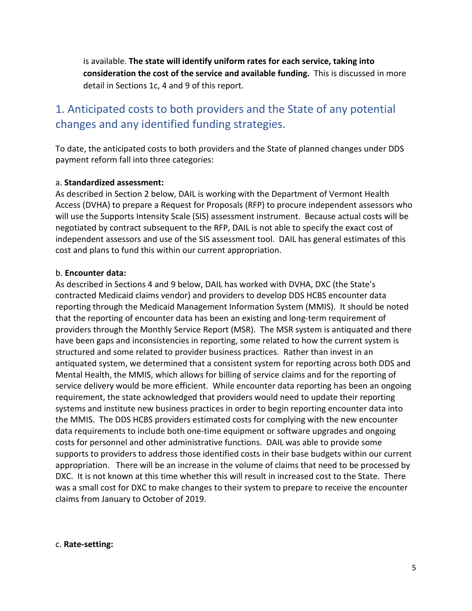is available. **The state will identify uniform rates for each service, taking into consideration the cost of the service and available funding.** This is discussed in more detail in Sections 1c, 4 and 9 of this report.

# <span id="page-4-0"></span>1. Anticipated costs to both providers and the State of any potential changes and any identified funding strategies.

To date, the anticipated costs to both providers and the State of planned changes under DDS payment reform fall into three categories:

#### a. **Standardized assessment:**

As described in Section 2 below, DAIL is working with the Department of Vermont Health Access (DVHA) to prepare a Request for Proposals (RFP) to procure independent assessors who will use the Supports Intensity Scale (SIS) assessment instrument. Because actual costs will be negotiated by contract subsequent to the RFP, DAIL is not able to specify the exact cost of independent assessors and use of the SIS assessment tool. DAIL has general estimates of this cost and plans to fund this within our current appropriation.

#### b. **Encounter data:**

As described in Sections 4 and 9 below, DAIL has worked with DVHA, DXC (the State's contracted Medicaid claims vendor) and providers to develop DDS HCBS encounter data reporting through the Medicaid Management Information System (MMIS). It should be noted that the reporting of encounter data has been an existing and long-term requirement of providers through the Monthly Service Report (MSR). The MSR system is antiquated and there have been gaps and inconsistencies in reporting, some related to how the current system is structured and some related to provider business practices. Rather than invest in an antiquated system, we determined that a consistent system for reporting across both DDS and Mental Health, the MMIS, which allows for billing of service claims and for the reporting of service delivery would be more efficient. While encounter data reporting has been an ongoing requirement, the state acknowledged that providers would need to update their reporting systems and institute new business practices in order to begin reporting encounter data into the MMIS. The DDS HCBS providers estimated costs for complying with the new encounter data requirements to include both one-time equipment or software upgrades and ongoing costs for personnel and other administrative functions. DAIL was able to provide some supports to providers to address those identified costs in their base budgets within our current appropriation. There will be an increase in the volume of claims that need to be processed by DXC. It is not known at this time whether this will result in increased cost to the State. There was a small cost for DXC to make changes to their system to prepare to receive the encounter claims from January to October of 2019.

#### c. **Rate-setting:**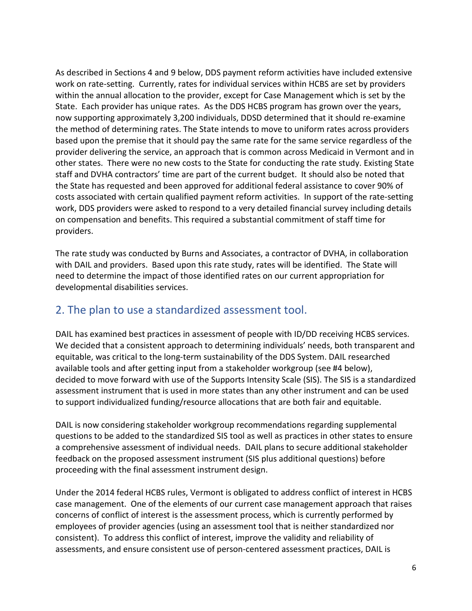As described in Sections 4 and 9 below, DDS payment reform activities have included extensive work on rate-setting. Currently, rates for individual services within HCBS are set by providers within the annual allocation to the provider, except for Case Management which is set by the State. Each provider has unique rates. As the DDS HCBS program has grown over the years, now supporting approximately 3,200 individuals, DDSD determined that it should re-examine the method of determining rates. The State intends to move to uniform rates across providers based upon the premise that it should pay the same rate for the same service regardless of the provider delivering the service, an approach that is common across Medicaid in Vermont and in other states. There were no new costs to the State for conducting the rate study. Existing State staff and DVHA contractors' time are part of the current budget. It should also be noted that the State has requested and been approved for additional federal assistance to cover 90% of costs associated with certain qualified payment reform activities. In support of the rate-setting work, DDS providers were asked to respond to a very detailed financial survey including details on compensation and benefits. This required a substantial commitment of staff time for providers.

The rate study was conducted by Burns and Associates, a contractor of DVHA, in collaboration with DAIL and providers. Based upon this rate study, rates will be identified. The State will need to determine the impact of those identified rates on our current appropriation for developmental disabilities services.

#### <span id="page-5-0"></span>2. The plan to use a standardized assessment tool.

DAIL has examined best practices in assessment of people with ID/DD receiving HCBS services. We decided that a consistent approach to determining individuals' needs, both transparent and equitable, was critical to the long-term sustainability of the DDS System. DAIL researched available tools and after getting input from a stakeholder workgroup (see #4 below), decided to move forward with use of the Supports Intensity Scale (SIS). The SIS is a standardized assessment instrument that is used in more states than any other instrument and can be used to support individualized funding/resource allocations that are both fair and equitable.

DAIL is now considering stakeholder workgroup recommendations regarding supplemental questions to be added to the standardized SIS tool as well as practices in other states to ensure a comprehensive assessment of individual needs. DAIL plans to secure additional stakeholder feedback on the proposed assessment instrument (SIS plus additional questions) before proceeding with the final assessment instrument design.

Under the 2014 federal HCBS rules, Vermont is obligated to address conflict of interest in HCBS case management. One of the elements of our current case management approach that raises concerns of conflict of interest is the assessment process, which is currently performed by employees of provider agencies (using an assessment tool that is neither standardized nor consistent). To address this conflict of interest, improve the validity and reliability of assessments, and ensure consistent use of person-centered assessment practices, DAIL is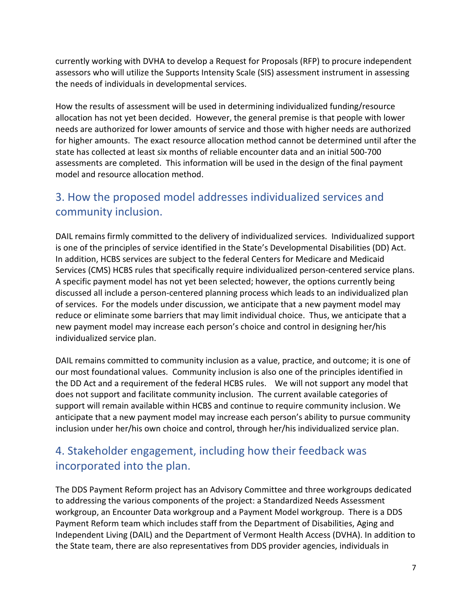currently working with DVHA to develop a Request for Proposals (RFP) to procure independent assessors who will utilize the Supports Intensity Scale (SIS) assessment instrument in assessing the needs of individuals in developmental services.

How the results of assessment will be used in determining individualized funding/resource allocation has not yet been decided. However, the general premise is that people with lower needs are authorized for lower amounts of service and those with higher needs are authorized for higher amounts. The exact resource allocation method cannot be determined until after the state has collected at least six months of reliable encounter data and an initial 500-700 assessments are completed. This information will be used in the design of the final payment model and resource allocation method.

# <span id="page-6-0"></span>3. How the proposed model addresses individualized services and community inclusion.

DAIL remains firmly committed to the delivery of individualized services. Individualized support is one of the principles of service identified in the State's Developmental Disabilities (DD) Act. In addition, HCBS services are subject to the federal Centers for Medicare and Medicaid Services (CMS) HCBS rules that specifically require individualized person-centered service plans. A specific payment model has not yet been selected; however, the options currently being discussed all include a person-centered planning process which leads to an individualized plan of services. For the models under discussion, we anticipate that a new payment model may reduce or eliminate some barriers that may limit individual choice. Thus, we anticipate that a new payment model may increase each person's choice and control in designing her/his individualized service plan.

DAIL remains committed to community inclusion as a value, practice, and outcome; it is one of our most foundational values. Community inclusion is also one of the principles identified in the DD Act and a requirement of the federal HCBS rules. We will not support any model that does not support and facilitate community inclusion. The current available categories of support will remain available within HCBS and continue to require community inclusion. We anticipate that a new payment model may increase each person's ability to pursue community inclusion under her/his own choice and control, through her/his individualized service plan.

# <span id="page-6-1"></span>4. Stakeholder engagement, including how their feedback was incorporated into the plan.

The DDS Payment Reform project has an Advisory Committee and three workgroups dedicated to addressing the various components of the project: a Standardized Needs Assessment workgroup, an Encounter Data workgroup and a Payment Model workgroup. There is a DDS Payment Reform team which includes staff from the Department of Disabilities, Aging and Independent Living (DAIL) and the Department of Vermont Health Access (DVHA). In addition to the State team, there are also representatives from DDS provider agencies, individuals in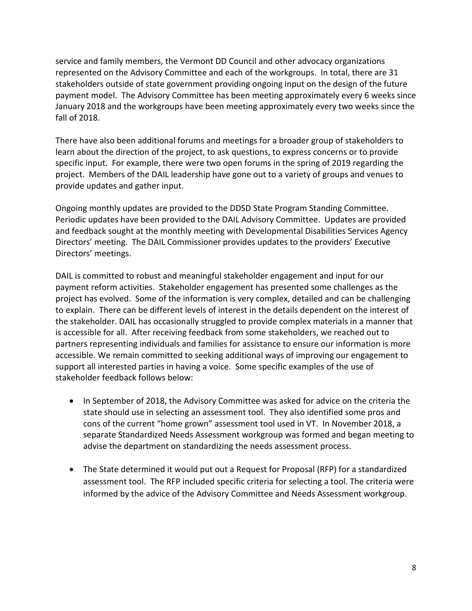service and family members, the Vermont DD Council and other advocacy organizations represented on the Advisory Committee and each of the workgroups. In total, there are 31 stakeholders outside of state government providing ongoing input on the design of the future payment model. The Advisory Committee has been meeting approximately every 6 weeks since January 2018 and the workgroups have been meeting approximately every two weeks since the fall of 2018.

There have also been additional forums and meetings for a broader group of stakeholders to learn about the direction of the project, to ask questions, to express concerns or to provide specific input. For example, there were two open forums in the spring of 2019 regarding the project. Members of the DAIL leadership have gone out to a variety of groups and venues to provide updates and gather input.

Ongoing monthly updates are provided to the DDSD State Program Standing Committee. Periodic updates have been provided to the DAIL Advisory Committee. Updates are provided and feedback sought at the monthly meeting with Developmental Disabilities Services Agency Directors' meeting. The DAIL Commissioner provides updates to the providers' Executive Directors' meetings.

DAIL is committed to robust and meaningful stakeholder engagement and input for our payment reform activities. Stakeholder engagement has presented some challenges as the project has evolved. Some of the information is very complex, detailed and can be challenging to explain. There can be different levels of interest in the details dependent on the interest of the stakeholder. DAIL has occasionally struggled to provide complex materials in a manner that is accessible for all. After receiving feedback from some stakeholders, we reached out to partners representing individuals and families for assistance to ensure our information is more accessible. We remain committed to seeking additional ways of improving our engagement to support all interested parties in having a voice. Some specific examples of the use of stakeholder feedback follows below:

- In September of 2018, the Advisory Committee was asked for advice on the criteria the state should use in selecting an assessment tool. They also identified some pros and cons of the current "home grown" assessment tool used in VT. In November 2018, a separate Standardized Needs Assessment workgroup was formed and began meeting to advise the department on standardizing the needs assessment process.
- The State determined it would put out a Request for Proposal (RFP) for a standardized assessment tool. The RFP included specific criteria for selecting a tool. The criteria were informed by the advice of the Advisory Committee and Needs Assessment workgroup.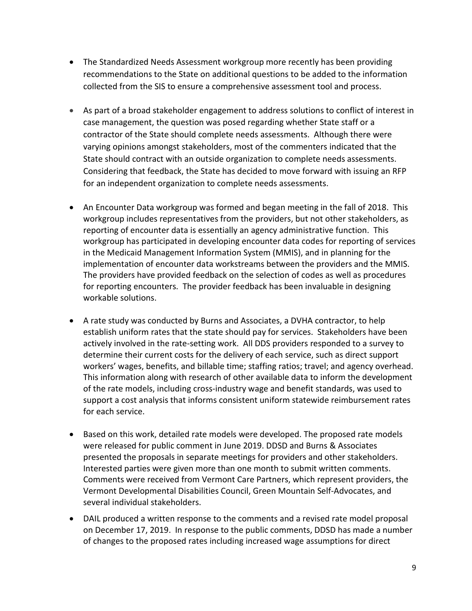- The Standardized Needs Assessment workgroup more recently has been providing recommendations to the State on additional questions to be added to the information collected from the SIS to ensure a comprehensive assessment tool and process.
- As part of a broad stakeholder engagement to address solutions to conflict of interest in case management, the question was posed regarding whether State staff or a contractor of the State should complete needs assessments. Although there were varying opinions amongst stakeholders, most of the commenters indicated that the State should contract with an outside organization to complete needs assessments. Considering that feedback, the State has decided to move forward with issuing an RFP for an independent organization to complete needs assessments.
- An Encounter Data workgroup was formed and began meeting in the fall of 2018. This workgroup includes representatives from the providers, but not other stakeholders, as reporting of encounter data is essentially an agency administrative function. This workgroup has participated in developing encounter data codes for reporting of services in the Medicaid Management Information System (MMIS), and in planning for the implementation of encounter data workstreams between the providers and the MMIS. The providers have provided feedback on the selection of codes as well as procedures for reporting encounters. The provider feedback has been invaluable in designing workable solutions.
- A rate study was conducted by Burns and Associates, a DVHA contractor, to help establish uniform rates that the state should pay for services. Stakeholders have been actively involved in the rate-setting work. All DDS providers responded to a survey to determine their current costs for the delivery of each service, such as direct support workers' wages, benefits, and billable time; staffing ratios; travel; and agency overhead. This information along with research of other available data to inform the development of the rate models, including cross-industry wage and benefit standards, was used to support a cost analysis that informs consistent uniform statewide reimbursement rates for each service.
- Based on this work, detailed rate models were developed. The proposed rate models were released for public comment in June 2019. DDSD and Burns & Associates presented the proposals in separate meetings for providers and other stakeholders. Interested parties were given more than one month to submit written comments. Comments were received from Vermont Care Partners, which represent providers, the Vermont Developmental Disabilities Council, Green Mountain Self-Advocates, and several individual stakeholders.
- DAIL produced a written response to the comments and a revised rate model proposal on December 17, 2019. In response to the public comments, DDSD has made a number of changes to the proposed rates including increased wage assumptions for direct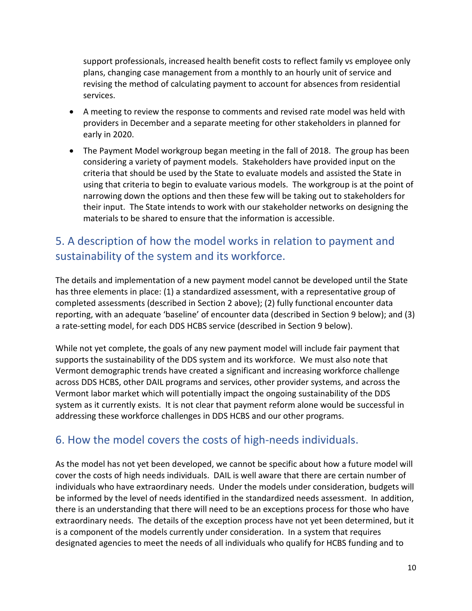support professionals, increased health benefit costs to reflect family vs employee only plans, changing case management from a monthly to an hourly unit of service and revising the method of calculating payment to account for absences from residential services.

- A meeting to review the response to comments and revised rate model was held with providers in December and a separate meeting for other stakeholders in planned for early in 2020.
- The Payment Model workgroup began meeting in the fall of 2018. The group has been considering a variety of payment models. Stakeholders have provided input on the criteria that should be used by the State to evaluate models and assisted the State in using that criteria to begin to evaluate various models. The workgroup is at the point of narrowing down the options and then these few will be taking out to stakeholders for their input. The State intends to work with our stakeholder networks on designing the materials to be shared to ensure that the information is accessible.

# <span id="page-9-0"></span>5. A description of how the model works in relation to payment and sustainability of the system and its workforce.

The details and implementation of a new payment model cannot be developed until the State has three elements in place: (1) a standardized assessment, with a representative group of completed assessments (described in Section 2 above); (2) fully functional encounter data reporting, with an adequate 'baseline' of encounter data (described in Section 9 below); and (3) a rate-setting model, for each DDS HCBS service (described in Section 9 below).

While not yet complete, the goals of any new payment model will include fair payment that supports the sustainability of the DDS system and its workforce. We must also note that Vermont demographic trends have created a significant and increasing workforce challenge across DDS HCBS, other DAIL programs and services, other provider systems, and across the Vermont labor market which will potentially impact the ongoing sustainability of the DDS system as it currently exists. It is not clear that payment reform alone would be successful in addressing these workforce challenges in DDS HCBS and our other programs.

### <span id="page-9-1"></span>6. How the model covers the costs of high-needs individuals.

As the model has not yet been developed, we cannot be specific about how a future model will cover the costs of high needs individuals. DAIL is well aware that there are certain number of individuals who have extraordinary needs. Under the models under consideration, budgets will be informed by the level of needs identified in the standardized needs assessment. In addition, there is an understanding that there will need to be an exceptions process for those who have extraordinary needs. The details of the exception process have not yet been determined, but it is a component of the models currently under consideration. In a system that requires designated agencies to meet the needs of all individuals who qualify for HCBS funding and to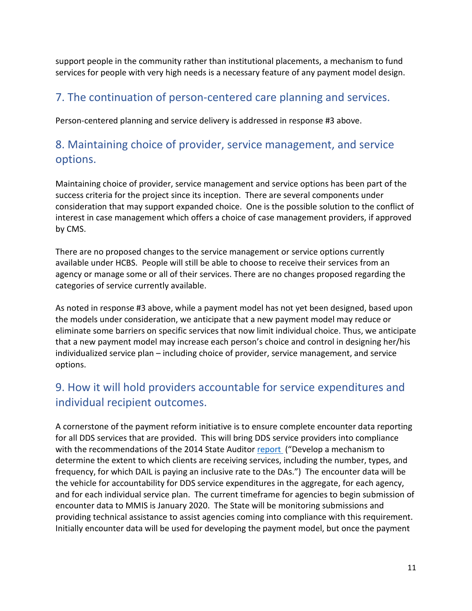support people in the community rather than institutional placements, a mechanism to fund services for people with very high needs is a necessary feature of any payment model design.

### <span id="page-10-0"></span>7. The continuation of person-centered care planning and services.

Person-centered planning and service delivery is addressed in response #3 above.

### <span id="page-10-1"></span>8. Maintaining choice of provider, service management, and service options.

Maintaining choice of provider, service management and service options has been part of the success criteria for the project since its inception. There are several components under consideration that may support expanded choice. One is the possible solution to the conflict of interest in case management which offers a choice of case management providers, if approved by CMS.

There are no proposed changes to the service management or service options currently available under HCBS. People will still be able to choose to receive their services from an agency or manage some or all of their services. There are no changes proposed regarding the categories of service currently available.

As noted in response #3 above, while a payment model has not yet been designed, based upon the models under consideration, we anticipate that a new payment model may reduce or eliminate some barriers on specific services that now limit individual choice. Thus, we anticipate that a new payment model may increase each person's choice and control in designing her/his individualized service plan – including choice of provider, service management, and service options.

# <span id="page-10-2"></span>9. How it will hold providers accountable for service expenditures and individual recipient outcomes.

A cornerstone of the payment reform initiative is to ensure complete encounter data reporting for all DDS services that are provided. This will bring DDS service providers into compliance with the recommendations of the 2014 State Auditor [report](https://auditor.vermont.gov/sites/auditor/files/files/reports/performance-audits/Final-DA-report-II10.31.2014.pdf) ("Develop a mechanism to determine the extent to which clients are receiving services, including the number, types, and frequency, for which DAIL is paying an inclusive rate to the DAs.") The encounter data will be the vehicle for accountability for DDS service expenditures in the aggregate, for each agency, and for each individual service plan. The current timeframe for agencies to begin submission of encounter data to MMIS is January 2020. The State will be monitoring submissions and providing technical assistance to assist agencies coming into compliance with this requirement. Initially encounter data will be used for developing the payment model, but once the payment